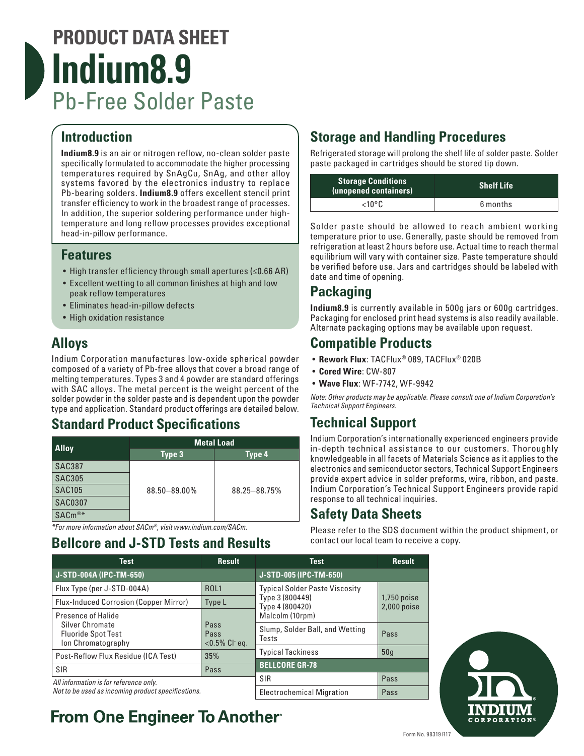# **PRODUCT DATA SHEET Indium8.9** Pb-Free Solder Paste

#### **Introduction**

**Indium8.9** is an air or nitrogen reflow, no-clean solder paste specifically formulated to accommodate the higher processing temperatures required by SnAgCu, SnAg, and other alloy systems favored by the electronics industry to replace Pb-bearing solders. **Indium8.9** offers excellent stencil print transfer efficiency to work in the broadest range of processes. In addition, the superior soldering performance under hightemperature and long reflow processes provides exceptional head-in-pillow performance.

#### **Features**

- High transfer efficiency through small apertures (≤0.66 AR)
- Excellent wetting to all common finishes at high and low peak reflow temperatures
- Eliminates head-in-pillow defects
- High oxidation resistance

### **Alloys**

Indium Corporation manufactures low-oxide spherical powder composed of a variety of Pb-free alloys that cover a broad range of melting temperatures. Types 3 and 4 powder are standard offerings with SAC alloys. The metal percent is the weight percent of the solder powder in the solder paste and is dependent upon the powder type and application. Standard product offerings are detailed below.

#### **Standard Product Specifications**

| <b>Alloy</b>       | <b>Metal Load</b> |              |  |  |
|--------------------|-------------------|--------------|--|--|
|                    | Type 3            | Type 4       |  |  |
| <b>SAC387</b>      | 88.50-89.00%      | 88.25-88.75% |  |  |
| <b>SAC305</b>      |                   |              |  |  |
| <b>SAC105</b>      |                   |              |  |  |
| <b>SAC0307</b>     |                   |              |  |  |
| SAC <sub>m®*</sub> |                   |              |  |  |

*\*For more information about SACm®, visit www.indium.com/SACm.*

#### **Bellcore and J-STD Tests and Results**

#### **Storage and Handling Procedures**

Refrigerated storage will prolong the shelf life of solder paste. Solder paste packaged in cartridges should be stored tip down.

| <b>Storage Conditions</b><br>(unopened containers) | <b>Shelf Life</b> |  |
|----------------------------------------------------|-------------------|--|
| $<$ 10°C                                           | 6 months          |  |

Solder paste should be allowed to reach ambient working temperature prior to use. Generally, paste should be removed from refrigeration at least 2 hours before use. Actual time to reach thermal equilibrium will vary with container size. Paste temperature should be verified before use. Jars and cartridges should be labeled with date and time of opening.

## **Packaging**

**Indium8.9** is currently available in 500g jars or 600g cartridges. Packaging for enclosed print head systems is also readily available. Alternate packaging options may be available upon request.

#### **Compatible Products**

- **Rework Flux**: TACFlux® 089, TACFlux® 020B
- **Cored Wire**: CW-807
- **Wave Flux**: WF-7742, WF-9942

*Note: Other products may be applicable. Please consult one of Indium Corporation's Technical Support Engineers.*

## **Technical Support**

Indium Corporation's internationally experienced engineers provide in-depth technical assistance to our customers. Thoroughly knowledgeable in all facets of Materials Science as it applies to the electronics and semiconductor sectors, Technical Support Engineers provide expert advice in solder preforms, wire, ribbon, and paste. Indium Corporation's Technical Support Engineers provide rapid response to all technical inquiries.

Please refer to the SDS document within the product shipment, or

#### **Safety Data Sheets**

contact our local team to receive a copy.

**Test Result J-STD-004A (IPC-TM-650)** Flux Type (per J-STD-004A) ROL1 Flux-Induced Corrosion (Copper Mirror) Type L Presence of Halide Silver Chromate Fluoride Spot Test Ion Chromatography Pass Pass <0.5% Cl- eq. Post-Reflow Flux Residue (ICA Test) 35% SIR Pass *All information is for reference only. Not to be used as incoming product specifications.* **Test Result J-STD-005 (IPC-TM-650)** Typical Solder Paste Viscosity Type 3 (800449) Type 4 (800420) Malcolm (10rpm) 1,750 poise 2,000 poise Slump, Solder Ball, and Wetting Pass Typical Tackiness 1909 **BELLCORE GR-78** SIR Pass Electrochemical Migration | Pass



# **From One Engineer To Another**